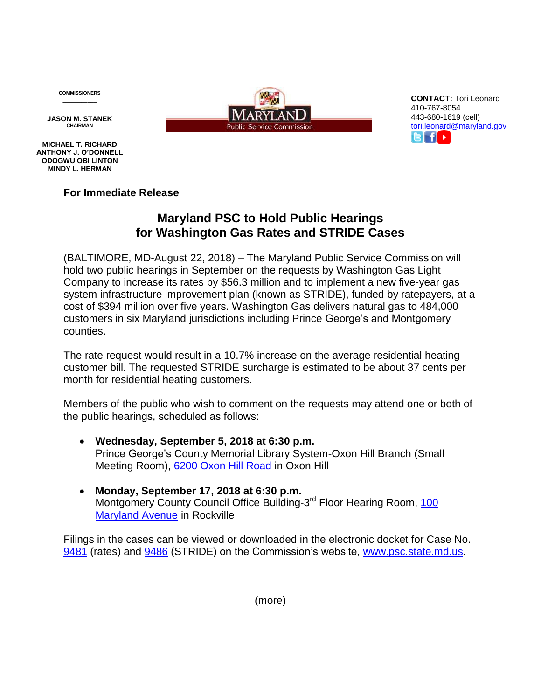**COMMISSIONERS \_\_\_\_\_\_\_\_\_\_\_**

**JASON M. STANEK CHAIRMAN**

**MICHAEL T. RICHARD ANTHONY J. O'DONNELL ODOGWU OBI LINTON MINDY L. HERMAN**

**For Immediate Release**

## **Maryland PSC to Hold Public Hearings for Washington Gas Rates and STRIDE Cases**

(BALTIMORE, MD-August 22, 2018) – The Maryland Public Service Commission will hold two public hearings in September on the requests by Washington Gas Light Company to increase its rates by \$56.3 million and to implement a new five-year gas system infrastructure improvement plan (known as STRIDE), funded by ratepayers, at a cost of \$394 million over five years. Washington Gas delivers natural gas to 484,000 customers in six Maryland jurisdictions including Prince George's and Montgomery counties.

The rate request would result in a 10.7% increase on the average residential heating customer bill. The requested STRIDE surcharge is estimated to be about 37 cents per month for residential heating customers.

Members of the public who wish to comment on the requests may attend one or both of the public hearings, scheduled as follows:

- **Wednesday, September 5, 2018 at 6:30 p.m.** Prince George's County Memorial Library System-Oxon Hill Branch (Small Meeting Room), [6200 Oxon Hill Road](https://www.google.com/maps/place/6200+Oxon+Hill+Rd,+Oxon+Hill,+MD+20745/@38.8034578,-76.9860264,17z/data=!3m1!4b1!4m5!3m4!1s0x89b7ba5c305cc433:0x18aa9f5ae3889a8e!8m2!3d38.8034578!4d-76.9838377?hl=en) in Oxon Hill
- **Monday, September 17, 2018 at 6:30 p.m.** Montgomery County Council Office Building-3<sup>rd</sup> Floor Hearing Room, [100](https://www.google.com/maps/place/Stella+Werner+Council+Office+Building,+100+Maryland+Ave,+Rockville,+MD+20850/@39.0822587,-77.152952,17z/data=!3m1!4b1!4m5!3m4!1s0x89b7cd0ac2877d3b:0xa439e2c2c13249ae!8m2!3d39.0822587!4d-77.1507633?hl=en) [Maryland Avenue](https://www.google.com/maps/place/Stella+Werner+Council+Office+Building,+100+Maryland+Ave,+Rockville,+MD+20850/@39.0822587,-77.152952,17z/data=!3m1!4b1!4m5!3m4!1s0x89b7cd0ac2877d3b:0xa439e2c2c13249ae!8m2!3d39.0822587!4d-77.1507633?hl=en) in Rockville

Filings in the cases can be viewed or downloaded in the electronic docket for Case No. [9481](https://www.psc.state.md.us/search-results/?keyword=9481&x.x=17&x.y=14&search=all&search=case) (rates) and [9486](https://www.psc.state.md.us/search-results/?keyword=9486&x.x=20&x.y=15&search=all&search=case) (STRIDE) on the Commission's website, [www.psc.state.md.us](http://www.psc.state.md.us/)*.*



**CONTACT:** Tori Leonard 410-767-8054 443-680-1619 (cell) [tori.leonard@maryland.gov](mailto:tori.leonard@maryland.gov)  $f \rightarrow$ 

(more)